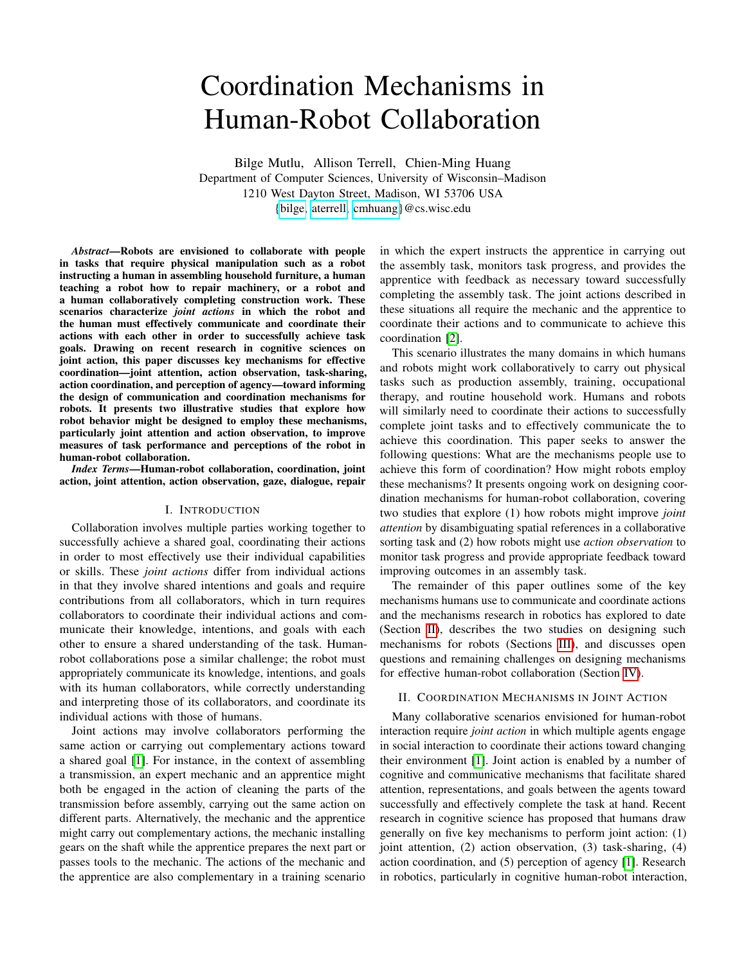# Coordination Mechanisms in Human-Robot Collaboration

Bilge Mutlu, Allison Terrell, Chien-Ming Huang Department of Computer Sciences, University of Wisconsin–Madison 1210 West Dayton Street, Madison, WI 53706 USA [{bilge,](mailto:bilge@cs.wisc.edu) [aterrell,](mailto:aterrell@cs.wisc.edu) [cmhuang}](mailto:cmhuang@cs.wisc.edu)@cs.wisc.edu

*Abstract*—Robots are envisioned to collaborate with people in tasks that require physical manipulation such as a robot instructing a human in assembling household furniture, a human teaching a robot how to repair machinery, or a robot and a human collaboratively completing construction work. These scenarios characterize *joint actions* in which the robot and the human must effectively communicate and coordinate their actions with each other in order to successfully achieve task goals. Drawing on recent research in cognitive sciences on joint action, this paper discusses key mechanisms for effective coordination—joint attention, action observation, task-sharing, action coordination, and perception of agency—toward informing the design of communication and coordination mechanisms for robots. It presents two illustrative studies that explore how robot behavior might be designed to employ these mechanisms, particularly joint attention and action observation, to improve measures of task performance and perceptions of the robot in human-robot collaboration.

*Index Terms*—Human-robot collaboration, coordination, joint action, joint attention, action observation, gaze, dialogue, repair

## I. INTRODUCTION

Collaboration involves multiple parties working together to successfully achieve a shared goal, coordinating their actions in order to most effectively use their individual capabilities or skills. These *joint actions* differ from individual actions in that they involve shared intentions and goals and require contributions from all collaborators, which in turn requires collaborators to coordinate their individual actions and communicate their knowledge, intentions, and goals with each other to ensure a shared understanding of the task. Humanrobot collaborations pose a similar challenge; the robot must appropriately communicate its knowledge, intentions, and goals with its human collaborators, while correctly understanding and interpreting those of its collaborators, and coordinate its individual actions with those of humans.

Joint actions may involve collaborators performing the same action or carrying out complementary actions toward a shared goal [\[1\]](#page-5-0). For instance, in the context of assembling a transmission, an expert mechanic and an apprentice might both be engaged in the action of cleaning the parts of the transmission before assembly, carrying out the same action on different parts. Alternatively, the mechanic and the apprentice might carry out complementary actions, the mechanic installing gears on the shaft while the apprentice prepares the next part or passes tools to the mechanic. The actions of the mechanic and the apprentice are also complementary in a training scenario in which the expert instructs the apprentice in carrying out the assembly task, monitors task progress, and provides the apprentice with feedback as necessary toward successfully completing the assembly task. The joint actions described in these situations all require the mechanic and the apprentice to coordinate their actions and to communicate to achieve this coordination [\[2\]](#page-5-1).

This scenario illustrates the many domains in which humans and robots might work collaboratively to carry out physical tasks such as production assembly, training, occupational therapy, and routine household work. Humans and robots will similarly need to coordinate their actions to successfully complete joint tasks and to effectively communicate the to achieve this coordination. This paper seeks to answer the following questions: What are the mechanisms people use to achieve this form of coordination? How might robots employ these mechanisms? It presents ongoing work on designing coordination mechanisms for human-robot collaboration, covering two studies that explore (1) how robots might improve *joint attention* by disambiguating spatial references in a collaborative sorting task and (2) how robots might use *action observation* to monitor task progress and provide appropriate feedback toward improving outcomes in an assembly task.

The remainder of this paper outlines some of the key mechanisms humans use to communicate and coordinate actions and the mechanisms research in robotics has explored to date (Section [II\)](#page-0-0), describes the two studies on designing such mechanisms for robots (Sections [III\)](#page-2-0), and discusses open questions and remaining challenges on designing mechanisms for effective human-robot collaboration (Section [IV\)](#page-4-0).

## <span id="page-0-0"></span>II. COORDINATION MECHANISMS IN JOINT ACTION

Many collaborative scenarios envisioned for human-robot interaction require *joint action* in which multiple agents engage in social interaction to coordinate their actions toward changing their environment [\[1\]](#page-5-0). Joint action is enabled by a number of cognitive and communicative mechanisms that facilitate shared attention, representations, and goals between the agents toward successfully and effectively complete the task at hand. Recent research in cognitive science has proposed that humans draw generally on five key mechanisms to perform joint action: (1) joint attention, (2) action observation, (3) task-sharing, (4) action coordination, and (5) perception of agency [\[1\]](#page-5-0). Research in robotics, particularly in cognitive human-robot interaction,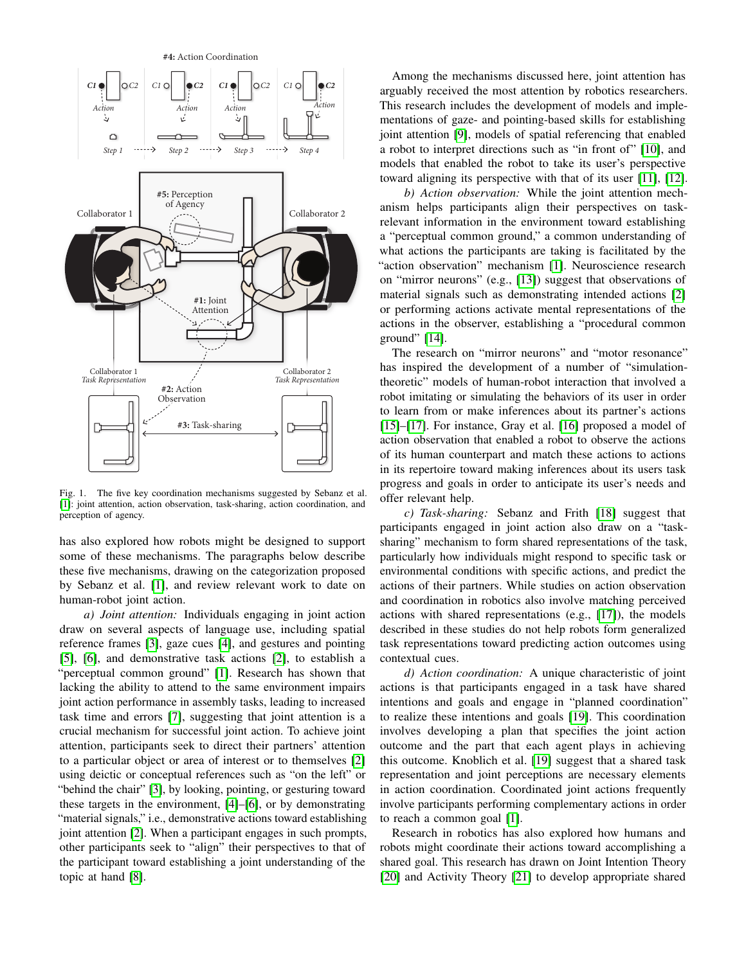

Fig. 1. The five key coordination mechanisms suggested by Sebanz et al. [\[1\]](#page-5-0): joint attention, action observation, task-sharing, action coordination, and perception of agency.

has also explored how robots might be designed to support some of these mechanisms. The paragraphs below describe these five mechanisms, drawing on the categorization proposed by Sebanz et al. [\[1\]](#page-5-0), and review relevant work to date on human-robot joint action.

*a) Joint attention:* Individuals engaging in joint action draw on several aspects of language use, including spatial reference frames [\[3\]](#page-5-2), gaze cues [\[4\]](#page-5-3), and gestures and pointing [\[5\]](#page-5-4), [\[6\]](#page-5-5), and demonstrative task actions [\[2\]](#page-5-1), to establish a "perceptual common ground" [\[1\]](#page-5-0). Research has shown that lacking the ability to attend to the same environment impairs joint action performance in assembly tasks, leading to increased task time and errors [\[7\]](#page-5-6), suggesting that joint attention is a crucial mechanism for successful joint action. To achieve joint attention, participants seek to direct their partners' attention to a particular object or area of interest or to themselves [\[2\]](#page-5-1) using deictic or conceptual references such as "on the left" or "behind the chair" [\[3\]](#page-5-2), by looking, pointing, or gesturing toward these targets in the environment, [\[4\]](#page-5-3)–[\[6\]](#page-5-5), or by demonstrating "material signals," i.e., demonstrative actions toward establishing joint attention [\[2\]](#page-5-1). When a participant engages in such prompts, other participants seek to "align" their perspectives to that of the participant toward establishing a joint understanding of the topic at hand [\[8\]](#page-5-7).

Among the mechanisms discussed here, joint attention has arguably received the most attention by robotics researchers. This research includes the development of models and implementations of gaze- and pointing-based skills for establishing joint attention [\[9\]](#page-5-8), models of spatial referencing that enabled a robot to interpret directions such as "in front of" [\[10\]](#page-5-9), and models that enabled the robot to take its user's perspective toward aligning its perspective with that of its user [\[11\]](#page-5-10), [\[12\]](#page-5-11).

*b) Action observation:* While the joint attention mechanism helps participants align their perspectives on taskrelevant information in the environment toward establishing a "perceptual common ground," a common understanding of what actions the participants are taking is facilitated by the "action observation" mechanism [\[1\]](#page-5-0). Neuroscience research on "mirror neurons" (e.g., [\[13\]](#page-5-12)) suggest that observations of material signals such as demonstrating intended actions [\[2\]](#page-5-1) or performing actions activate mental representations of the actions in the observer, establishing a "procedural common ground" [\[14\]](#page-5-13).

The research on "mirror neurons" and "motor resonance" has inspired the development of a number of "simulationtheoretic" models of human-robot interaction that involved a robot imitating or simulating the behaviors of its user in order to learn from or make inferences about its partner's actions [\[15\]](#page-5-14)–[\[17\]](#page-5-15). For instance, Gray et al. [\[16\]](#page-5-16) proposed a model of action observation that enabled a robot to observe the actions of its human counterpart and match these actions to actions in its repertoire toward making inferences about its users task progress and goals in order to anticipate its user's needs and offer relevant help.

*c) Task-sharing:* Sebanz and Frith [\[18\]](#page-5-17) suggest that participants engaged in joint action also draw on a "tasksharing" mechanism to form shared representations of the task, particularly how individuals might respond to specific task or environmental conditions with specific actions, and predict the actions of their partners. While studies on action observation and coordination in robotics also involve matching perceived actions with shared representations (e.g., [\[17\]](#page-5-15)), the models described in these studies do not help robots form generalized task representations toward predicting action outcomes using contextual cues.

*d) Action coordination:* A unique characteristic of joint actions is that participants engaged in a task have shared intentions and goals and engage in "planned coordination" to realize these intentions and goals [\[19\]](#page-5-18). This coordination involves developing a plan that specifies the joint action outcome and the part that each agent plays in achieving this outcome. Knoblich et al. [\[19\]](#page-5-18) suggest that a shared task representation and joint perceptions are necessary elements in action coordination. Coordinated joint actions frequently involve participants performing complementary actions in order to reach a common goal [\[1\]](#page-5-0).

Research in robotics has also explored how humans and robots might coordinate their actions toward accomplishing a shared goal. This research has drawn on Joint Intention Theory [\[20\]](#page-5-19) and Activity Theory [\[21\]](#page-5-20) to develop appropriate shared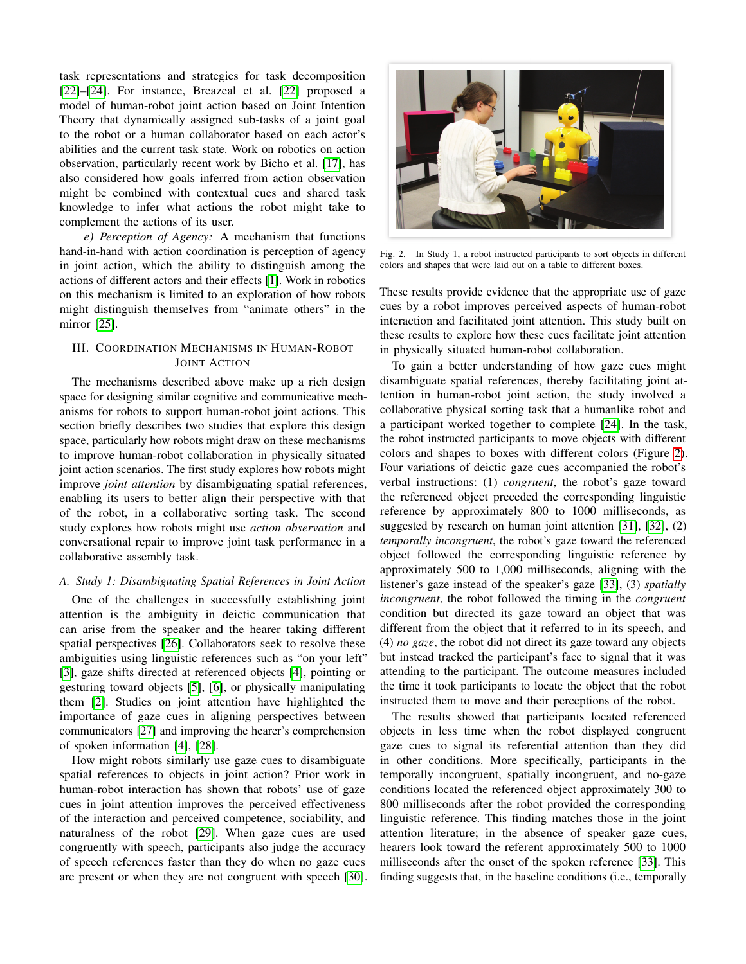task representations and strategies for task decomposition [\[22\]](#page-5-21)–[\[24\]](#page-5-22). For instance, Breazeal et al. [\[22\]](#page-5-21) proposed a model of human-robot joint action based on Joint Intention Theory that dynamically assigned sub-tasks of a joint goal to the robot or a human collaborator based on each actor's abilities and the current task state. Work on robotics on action observation, particularly recent work by Bicho et al. [\[17\]](#page-5-15), has also considered how goals inferred from action observation might be combined with contextual cues and shared task knowledge to infer what actions the robot might take to complement the actions of its user.

*e) Perception of Agency:* A mechanism that functions hand-in-hand with action coordination is perception of agency in joint action, which the ability to distinguish among the actions of different actors and their effects [\[1\]](#page-5-0). Work in robotics on this mechanism is limited to an exploration of how robots might distinguish themselves from "animate others" in the mirror [\[25\]](#page-5-23).

# <span id="page-2-0"></span>III. COORDINATION MECHANISMS IN HUMAN-ROBOT JOINT ACTION

The mechanisms described above make up a rich design space for designing similar cognitive and communicative mechanisms for robots to support human-robot joint actions. This section briefly describes two studies that explore this design space, particularly how robots might draw on these mechanisms to improve human-robot collaboration in physically situated joint action scenarios. The first study explores how robots might improve *joint attention* by disambiguating spatial references, enabling its users to better align their perspective with that of the robot, in a collaborative sorting task. The second study explores how robots might use *action observation* and conversational repair to improve joint task performance in a collaborative assembly task.

# *A. Study 1: Disambiguating Spatial References in Joint Action*

One of the challenges in successfully establishing joint attention is the ambiguity in deictic communication that can arise from the speaker and the hearer taking different spatial perspectives [\[26\]](#page-5-24). Collaborators seek to resolve these ambiguities using linguistic references such as "on your left" [\[3\]](#page-5-2), gaze shifts directed at referenced objects [\[4\]](#page-5-3), pointing or gesturing toward objects [\[5\]](#page-5-4), [\[6\]](#page-5-5), or physically manipulating them [\[2\]](#page-5-1). Studies on joint attention have highlighted the importance of gaze cues in aligning perspectives between communicators [\[27\]](#page-5-25) and improving the hearer's comprehension of spoken information [\[4\]](#page-5-3), [\[28\]](#page-5-26).

How might robots similarly use gaze cues to disambiguate spatial references to objects in joint action? Prior work in human-robot interaction has shown that robots' use of gaze cues in joint attention improves the perceived effectiveness of the interaction and perceived competence, sociability, and naturalness of the robot [\[29\]](#page-5-27). When gaze cues are used congruently with speech, participants also judge the accuracy of speech references faster than they do when no gaze cues are present or when they are not congruent with speech [\[30\]](#page-5-28).



Fig. 2. In Study 1, a robot instructed participants to sort objects in different colors and shapes that were laid out on a table to different boxes.

<span id="page-2-1"></span>These results provide evidence that the appropriate use of gaze cues by a robot improves perceived aspects of human-robot interaction and facilitated joint attention. This study built on these results to explore how these cues facilitate joint attention in physically situated human-robot collaboration.

To gain a better understanding of how gaze cues might disambiguate spatial references, thereby facilitating joint attention in human-robot joint action, the study involved a collaborative physical sorting task that a humanlike robot and a participant worked together to complete [\[24\]](#page-5-22). In the task, the robot instructed participants to move objects with different colors and shapes to boxes with different colors (Figure [2\)](#page-2-1). Four variations of deictic gaze cues accompanied the robot's verbal instructions: (1) *congruent*, the robot's gaze toward the referenced object preceded the corresponding linguistic reference by approximately 800 to 1000 milliseconds, as suggested by research on human joint attention [\[31\]](#page-5-29), [\[32\]](#page-5-30), (2) *temporally incongruent*, the robot's gaze toward the referenced object followed the corresponding linguistic reference by approximately 500 to 1,000 milliseconds, aligning with the listener's gaze instead of the speaker's gaze [\[33\]](#page-5-31), (3) *spatially incongruent*, the robot followed the timing in the *congruent* condition but directed its gaze toward an object that was different from the object that it referred to in its speech, and (4) *no gaze*, the robot did not direct its gaze toward any objects but instead tracked the participant's face to signal that it was attending to the participant. The outcome measures included the time it took participants to locate the object that the robot instructed them to move and their perceptions of the robot.

The results showed that participants located referenced objects in less time when the robot displayed congruent gaze cues to signal its referential attention than they did in other conditions. More specifically, participants in the temporally incongruent, spatially incongruent, and no-gaze conditions located the referenced object approximately 300 to 800 milliseconds after the robot provided the corresponding linguistic reference. This finding matches those in the joint attention literature; in the absence of speaker gaze cues, hearers look toward the referent approximately 500 to 1000 milliseconds after the onset of the spoken reference [\[33\]](#page-5-31). This finding suggests that, in the baseline conditions (i.e., temporally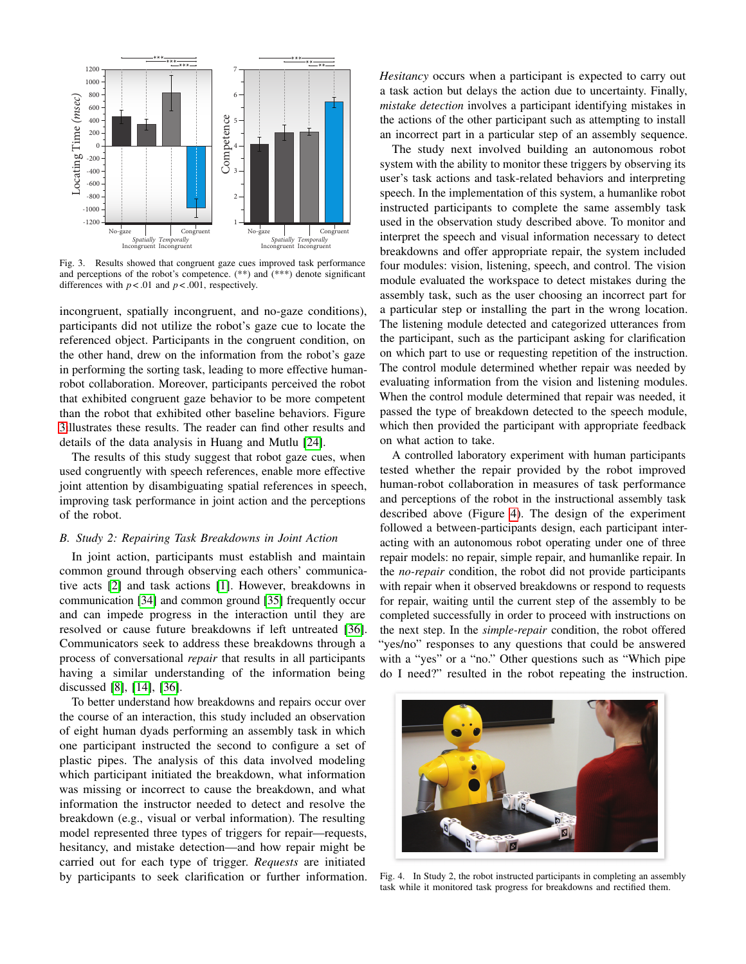

<span id="page-3-0"></span>Fig. 3. Results showed that congruent gaze cues improved task performance and perceptions of the robot's competence. (\*\*) and (\*\*\*) denote significant differences with  $p < .01$  and  $p < .001$ , respectively.

incongruent, spatially incongruent, and no-gaze conditions), participants did not utilize the robot's gaze cue to locate the referenced object. Participants in the congruent condition, on the other hand, drew on the information from the robot's gaze in performing the sorting task, leading to more effective humanrobot collaboration. Moreover, participants perceived the robot that exhibited congruent gaze behavior to be more competent than the robot that exhibited other baseline behaviors. Figure [3i](#page-3-0)llustrates these results. The reader can find other results and details of the data analysis in Huang and Mutlu [\[24\]](#page-5-22).

The results of this study suggest that robot gaze cues, when used congruently with speech references, enable more effective joint attention by disambiguating spatial references in speech, improving task performance in joint action and the perceptions of the robot.

#### *B. Study 2: Repairing Task Breakdowns in Joint Action*

In joint action, participants must establish and maintain common ground through observing each others' communicative acts [\[2\]](#page-5-1) and task actions [\[1\]](#page-5-0). However, breakdowns in communication [\[34\]](#page-5-32) and common ground [\[35\]](#page-5-33) frequently occur and can impede progress in the interaction until they are resolved or cause future breakdowns if left untreated [\[36\]](#page-5-34). Communicators seek to address these breakdowns through a process of conversational *repair* that results in all participants having a similar understanding of the information being discussed [\[8\]](#page-5-7), [\[14\]](#page-5-13), [\[36\]](#page-5-34).

To better understand how breakdowns and repairs occur over the course of an interaction, this study included an observation of eight human dyads performing an assembly task in which one participant instructed the second to configure a set of plastic pipes. The analysis of this data involved modeling which participant initiated the breakdown, what information was missing or incorrect to cause the breakdown, and what information the instructor needed to detect and resolve the breakdown (e.g., visual or verbal information). The resulting model represented three types of triggers for repair—requests, hesitancy, and mistake detection—and how repair might be carried out for each type of trigger. *Requests* are initiated by participants to seek clarification or further information. *Hesitancy* occurs when a participant is expected to carry out a task action but delays the action due to uncertainty. Finally, *mistake detection* involves a participant identifying mistakes in the actions of the other participant such as attempting to install an incorrect part in a particular step of an assembly sequence.

The study next involved building an autonomous robot system with the ability to monitor these triggers by observing its user's task actions and task-related behaviors and interpreting speech. In the implementation of this system, a humanlike robot instructed participants to complete the same assembly task used in the observation study described above. To monitor and interpret the speech and visual information necessary to detect breakdowns and offer appropriate repair, the system included four modules: vision, listening, speech, and control. The vision module evaluated the workspace to detect mistakes during the assembly task, such as the user choosing an incorrect part for a particular step or installing the part in the wrong location. The listening module detected and categorized utterances from the participant, such as the participant asking for clarification on which part to use or requesting repetition of the instruction. The control module determined whether repair was needed by evaluating information from the vision and listening modules. When the control module determined that repair was needed, it passed the type of breakdown detected to the speech module, which then provided the participant with appropriate feedback on what action to take.

A controlled laboratory experiment with human participants tested whether the repair provided by the robot improved human-robot collaboration in measures of task performance and perceptions of the robot in the instructional assembly task described above (Figure [4\)](#page-3-1). The design of the experiment followed a between-participants design, each participant interacting with an autonomous robot operating under one of three repair models: no repair, simple repair, and humanlike repair. In the *no-repair* condition, the robot did not provide participants with repair when it observed breakdowns or respond to requests for repair, waiting until the current step of the assembly to be completed successfully in order to proceed with instructions on the next step. In the *simple-repair* condition, the robot offered "yes/no" responses to any questions that could be answered with a "yes" or a "no." Other questions such as "Which pipe do I need?" resulted in the robot repeating the instruction.

<span id="page-3-1"></span>

Fig. 4. In Study 2, the robot instructed participants in completing an assembly task while it monitored task progress for breakdowns and rectified them.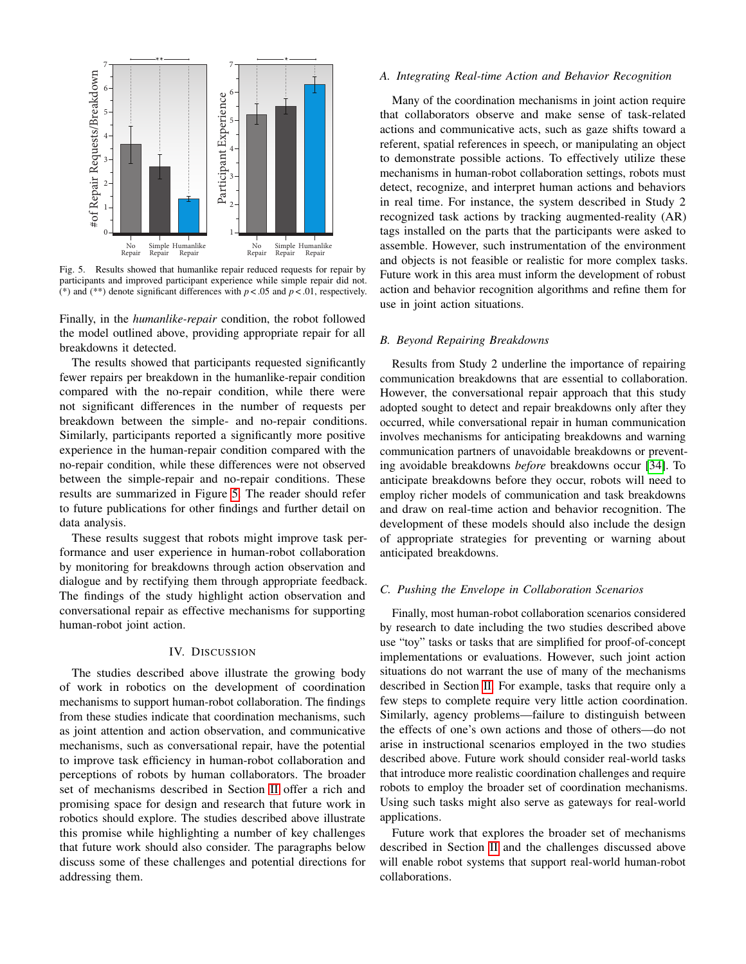

<span id="page-4-1"></span>Fig. 5. Results showed that humanlike repair reduced requests for repair by participants and improved participant experience while simple repair did not. (\*) and (\*\*) denote significant differences with  $p < .05$  and  $p < .01$ , respectively.

Finally, in the *humanlike-repair* condition, the robot followed the model outlined above, providing appropriate repair for all breakdowns it detected.

The results showed that participants requested significantly fewer repairs per breakdown in the humanlike-repair condition compared with the no-repair condition, while there were not significant differences in the number of requests per breakdown between the simple- and no-repair conditions. Similarly, participants reported a significantly more positive experience in the human-repair condition compared with the no-repair condition, while these differences were not observed between the simple-repair and no-repair conditions. These results are summarized in Figure [5.](#page-4-1) The reader should refer to future publications for other findings and further detail on data analysis.

These results suggest that robots might improve task performance and user experience in human-robot collaboration by monitoring for breakdowns through action observation and dialogue and by rectifying them through appropriate feedback. The findings of the study highlight action observation and conversational repair as effective mechanisms for supporting human-robot joint action.

## IV. DISCUSSION

<span id="page-4-0"></span>The studies described above illustrate the growing body of work in robotics on the development of coordination mechanisms to support human-robot collaboration. The findings from these studies indicate that coordination mechanisms, such as joint attention and action observation, and communicative mechanisms, such as conversational repair, have the potential to improve task efficiency in human-robot collaboration and perceptions of robots by human collaborators. The broader set of mechanisms described in Section [II](#page-0-0) offer a rich and promising space for design and research that future work in robotics should explore. The studies described above illustrate this promise while highlighting a number of key challenges that future work should also consider. The paragraphs below discuss some of these challenges and potential directions for addressing them.

#### *A. Integrating Real-time Action and Behavior Recognition*

Many of the coordination mechanisms in joint action require that collaborators observe and make sense of task-related actions and communicative acts, such as gaze shifts toward a referent, spatial references in speech, or manipulating an object to demonstrate possible actions. To effectively utilize these mechanisms in human-robot collaboration settings, robots must detect, recognize, and interpret human actions and behaviors in real time. For instance, the system described in Study 2 recognized task actions by tracking augmented-reality (AR) tags installed on the parts that the participants were asked to assemble. However, such instrumentation of the environment and objects is not feasible or realistic for more complex tasks. Future work in this area must inform the development of robust action and behavior recognition algorithms and refine them for use in joint action situations.

## *B. Beyond Repairing Breakdowns*

Results from Study 2 underline the importance of repairing communication breakdowns that are essential to collaboration. However, the conversational repair approach that this study adopted sought to detect and repair breakdowns only after they occurred, while conversational repair in human communication involves mechanisms for anticipating breakdowns and warning communication partners of unavoidable breakdowns or preventing avoidable breakdowns *before* breakdowns occur [\[34\]](#page-5-32). To anticipate breakdowns before they occur, robots will need to employ richer models of communication and task breakdowns and draw on real-time action and behavior recognition. The development of these models should also include the design of appropriate strategies for preventing or warning about anticipated breakdowns.

# *C. Pushing the Envelope in Collaboration Scenarios*

Finally, most human-robot collaboration scenarios considered by research to date including the two studies described above use "toy" tasks or tasks that are simplified for proof-of-concept implementations or evaluations. However, such joint action situations do not warrant the use of many of the mechanisms described in Section [II.](#page-0-0) For example, tasks that require only a few steps to complete require very little action coordination. Similarly, agency problems—failure to distinguish between the effects of one's own actions and those of others—do not arise in instructional scenarios employed in the two studies described above. Future work should consider real-world tasks that introduce more realistic coordination challenges and require robots to employ the broader set of coordination mechanisms. Using such tasks might also serve as gateways for real-world applications.

Future work that explores the broader set of mechanisms described in Section [II](#page-0-0) and the challenges discussed above will enable robot systems that support real-world human-robot collaborations.